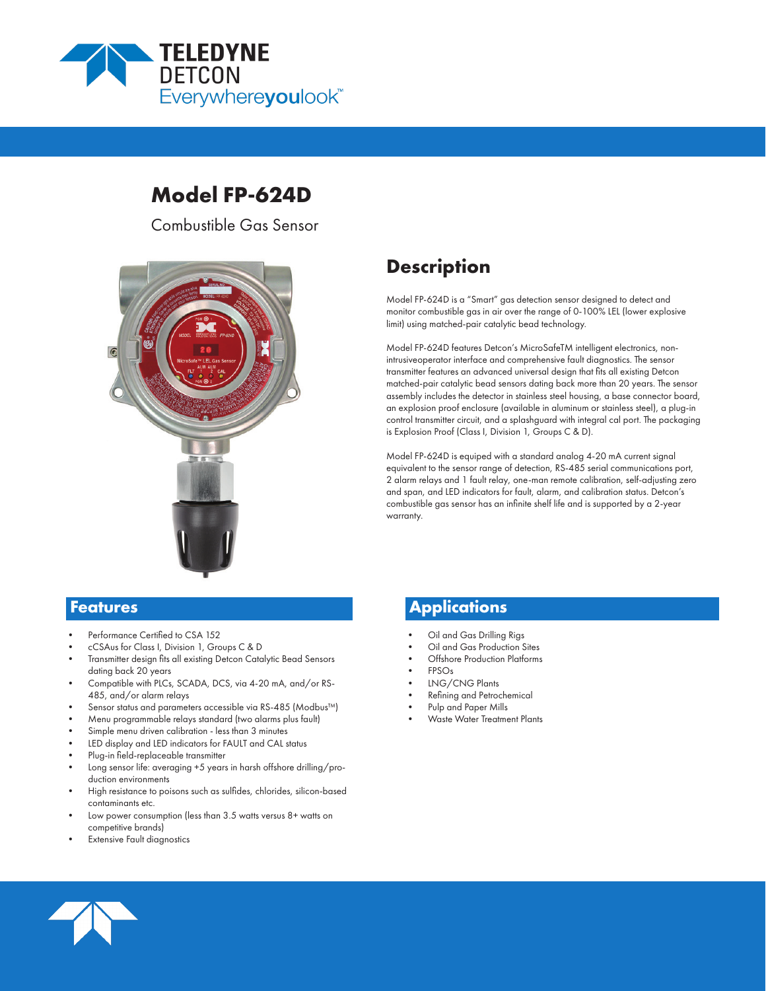

# **Model FP-624D**

Combustible Gas Sensor



# **Description**

Model FP-624D is a "Smart" gas detection sensor designed to detect and monitor combustible gas in air over the range of 0-100% LEL (lower explosive limit) using matched-pair catalytic bead technology.

Model FP-624D features Detcon's MicroSafeTM intelligent electronics, nonintrusiveoperator interface and comprehensive fault diagnostics. The sensor transmitter features an advanced universal design that fits all existing Detcon matched-pair catalytic bead sensors dating back more than 20 years. The sensor assembly includes the detector in stainless steel housing, a base connector board, an explosion proof enclosure (available in aluminum or stainless steel), a plug-in control transmitter circuit, and a splashguard with integral cal port. The packaging is Explosion Proof (Class I, Division 1, Groups C & D).

Model FP-624D is equiped with a standard analog 4-20 mA current signal equivalent to the sensor range of detection, RS-485 serial communications port, 2 alarm relays and 1 fault relay, one-man remote calibration, self-adjusting zero and span, and LED indicators for fault, alarm, and calibration status. Detcon's combustible gas sensor has an infinite shelf life and is supported by a 2-year warranty.

- Performance Certified to CSA 152
- cCSAus for Class I, Division 1, Groups C & D
- Transmitter design fits all existing Detcon Catalytic Bead Sensors dating back 20 years
- Compatible with PLCs, SCADA, DCS, via 4-20 mA, and/or RS-485, and/or alarm relays
- Sensor status and parameters accessible via RS-485 (Modbus™)
- Menu programmable relays standard (two alarms plus fault)
- Simple menu driven calibration less than 3 minutes
- LED display and LED indicators for FAULT and CAL status
- Plug-in field-replaceable transmitter
- Long sensor life: averaging +5 years in harsh offshore drilling/production environments
- High resistance to poisons such as sulfides, chlorides, silicon-based contaminants etc.
- Low power consumption (less than 3.5 watts versus 8+ watts on competitive brands)
- **Extensive Fault diagnostics**

# **Features Applications**

- Oil and Gas Drilling Rigs
- Oil and Gas Production Sites
- Offshore Production Platforms
- FPSOs
- LNG/CNG Plants
- Refining and Petrochemical
- Pulp and Paper Mills
- Waste Water Treatment Plants